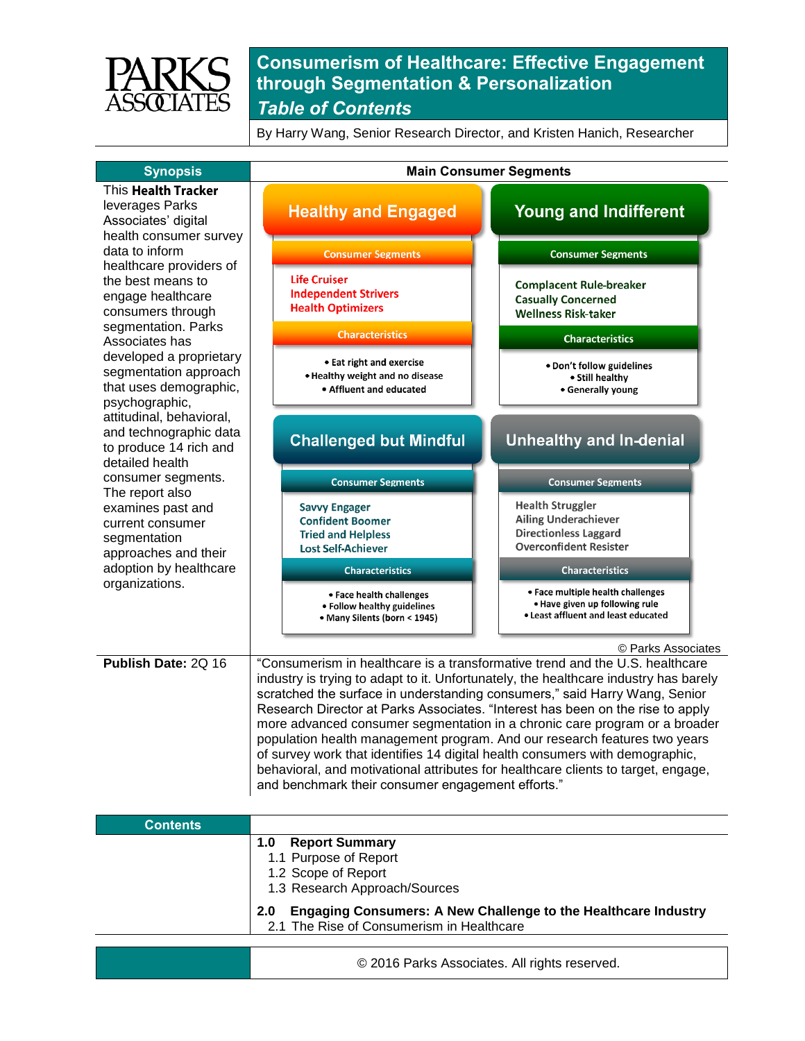

By Harry Wang, Senior Research Director, and Kristen Hanich, Researcher

| <b>Synopsis</b>                                                                                                                                                                                 | <b>Main Consumer Segments</b>                                                                                                                                                                                                                                                                                                                                                                                                                                                                                                                                                                                                                                                                                             |                                                                                                                         |
|-------------------------------------------------------------------------------------------------------------------------------------------------------------------------------------------------|---------------------------------------------------------------------------------------------------------------------------------------------------------------------------------------------------------------------------------------------------------------------------------------------------------------------------------------------------------------------------------------------------------------------------------------------------------------------------------------------------------------------------------------------------------------------------------------------------------------------------------------------------------------------------------------------------------------------------|-------------------------------------------------------------------------------------------------------------------------|
| This <b>Health Tracker</b><br>leverages Parks<br>Associates' digital<br>health consumer survey                                                                                                  | <b>Healthy and Engaged</b>                                                                                                                                                                                                                                                                                                                                                                                                                                                                                                                                                                                                                                                                                                | <b>Young and Indifferent</b>                                                                                            |
| data to inform<br>healthcare providers of<br>the best means to<br>engage healthcare<br>consumers through                                                                                        | <b>Consumer Segments</b>                                                                                                                                                                                                                                                                                                                                                                                                                                                                                                                                                                                                                                                                                                  | <b>Consumer Segments</b>                                                                                                |
|                                                                                                                                                                                                 | <b>Life Cruiser</b><br><b>Independent Strivers</b><br><b>Health Optimizers</b>                                                                                                                                                                                                                                                                                                                                                                                                                                                                                                                                                                                                                                            | <b>Complacent Rule-breaker</b><br><b>Casually Concerned</b><br><b>Wellness Risk-taker</b>                               |
| segmentation. Parks<br>Associates has                                                                                                                                                           | <b>Characteristics</b>                                                                                                                                                                                                                                                                                                                                                                                                                                                                                                                                                                                                                                                                                                    | <b>Characteristics</b>                                                                                                  |
| developed a proprietary<br>segmentation approach<br>that uses demographic,<br>psychographic,<br>attitudinal, behavioral,<br>and technographic data<br>to produce 14 rich and<br>detailed health | • Eat right and exercise<br>. Healthy weight and no disease<br>• Affluent and educated                                                                                                                                                                                                                                                                                                                                                                                                                                                                                                                                                                                                                                    | . Don't follow guidelines<br>• Still healthy<br>• Generally young                                                       |
|                                                                                                                                                                                                 | <b>Challenged but Mindful</b>                                                                                                                                                                                                                                                                                                                                                                                                                                                                                                                                                                                                                                                                                             | <b>Unhealthy and In-denial</b>                                                                                          |
| consumer segments.<br>The report also                                                                                                                                                           | <b>Consumer Segments</b>                                                                                                                                                                                                                                                                                                                                                                                                                                                                                                                                                                                                                                                                                                  | <b>Consumer Segments</b>                                                                                                |
| examines past and<br>current consumer<br>segmentation<br>approaches and their                                                                                                                   | <b>Savvy Engager</b><br><b>Confident Boomer</b><br><b>Tried and Helpless</b><br><b>Lost Self-Achiever</b>                                                                                                                                                                                                                                                                                                                                                                                                                                                                                                                                                                                                                 | <b>Health Struggler</b><br><b>Ailing Underachiever</b><br><b>Directionless Laggard</b><br><b>Overconfident Resister</b> |
| adoption by healthcare                                                                                                                                                                          | <b>Characteristics</b>                                                                                                                                                                                                                                                                                                                                                                                                                                                                                                                                                                                                                                                                                                    | <b>Characteristics</b>                                                                                                  |
| organizations.                                                                                                                                                                                  | • Face health challenges<br>• Follow healthy guidelines<br>• Many Silents (born < 1945)                                                                                                                                                                                                                                                                                                                                                                                                                                                                                                                                                                                                                                   | • Face multiple health challenges<br>. Have given up following rule<br>. Least affluent and least educated              |
|                                                                                                                                                                                                 |                                                                                                                                                                                                                                                                                                                                                                                                                                                                                                                                                                                                                                                                                                                           | © Parks Associates                                                                                                      |
| Publish Date: 2Q 16                                                                                                                                                                             | "Consumerism in healthcare is a transformative trend and the U.S. healthcare<br>industry is trying to adapt to it. Unfortunately, the healthcare industry has barely<br>scratched the surface in understanding consumers," said Harry Wang, Senior<br>Research Director at Parks Associates. "Interest has been on the rise to apply<br>more advanced consumer segmentation in a chronic care program or a broader<br>population health management program. And our research features two years<br>of survey work that identifies 14 digital health consumers with demographic,<br>behavioral, and motivational attributes for healthcare clients to target, engage,<br>and benchmark their consumer engagement efforts." |                                                                                                                         |
| <b>Contents</b>                                                                                                                                                                                 |                                                                                                                                                                                                                                                                                                                                                                                                                                                                                                                                                                                                                                                                                                                           |                                                                                                                         |
|                                                                                                                                                                                                 | <b>Report Summary</b><br>1.0<br>1.1 Purpose of Report<br>1.2 Scope of Report<br>1.3 Research Approach/Sources<br>2.0                                                                                                                                                                                                                                                                                                                                                                                                                                                                                                                                                                                                      | <b>Engaging Consumers: A New Challenge to the Healthcare Industry</b>                                                   |
|                                                                                                                                                                                                 | 2.1 The Rise of Consumerism in Healthcare                                                                                                                                                                                                                                                                                                                                                                                                                                                                                                                                                                                                                                                                                 |                                                                                                                         |
|                                                                                                                                                                                                 | @ 2016 Derke Associates All rights resem                                                                                                                                                                                                                                                                                                                                                                                                                                                                                                                                                                                                                                                                                  |                                                                                                                         |

© 2016 Parks Associates. All rights reserved.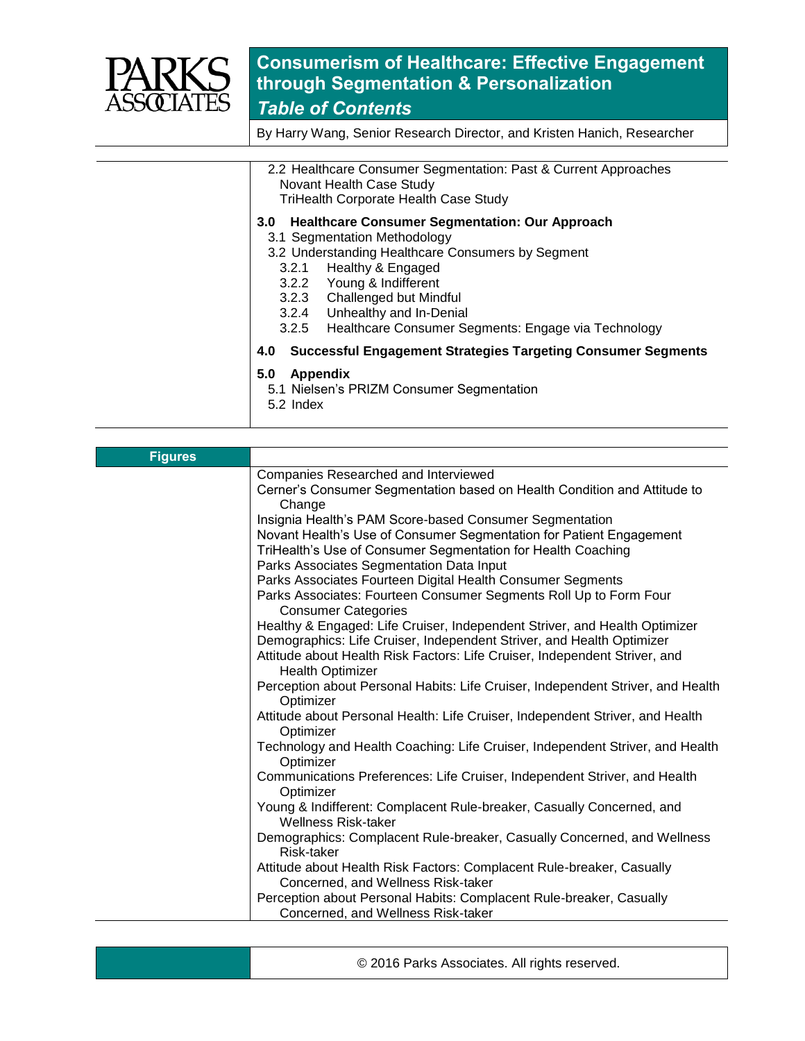

By Harry Wang, Senior Research Director, and Kristen Hanich, Researcher

| 2.2 Healthcare Consumer Segmentation: Past & Current Approaches<br>Novant Health Case Study<br><b>TriHealth Corporate Health Case Study</b>                                                                                                                                                                                                   |
|-----------------------------------------------------------------------------------------------------------------------------------------------------------------------------------------------------------------------------------------------------------------------------------------------------------------------------------------------|
| <b>Healthcare Consumer Segmentation: Our Approach</b><br>3.0<br>3.1 Segmentation Methodology<br>3.2 Understanding Healthcare Consumers by Segment<br>Healthy & Engaged<br>3.2.1<br>3.2.2 Young & Indifferent<br>3.2.3 Challenged but Mindful<br>3.2.4 Unhealthy and In-Denial<br>Healthcare Consumer Segments: Engage via Technology<br>3.2.5 |
| <b>Successful Engagement Strategies Targeting Consumer Segments</b><br>4.0<br>5.0<br>Appendix<br>5.1 Nielsen's PRIZM Consumer Segmentation<br>5.2 Index                                                                                                                                                                                       |

| <b>Figures</b> |                                                                                                                                                               |
|----------------|---------------------------------------------------------------------------------------------------------------------------------------------------------------|
|                | Companies Researched and Interviewed                                                                                                                          |
|                | Cerner's Consumer Segmentation based on Health Condition and Attitude to<br>Change                                                                            |
|                | Insignia Health's PAM Score-based Consumer Segmentation                                                                                                       |
|                | Novant Health's Use of Consumer Segmentation for Patient Engagement<br>TriHealth's Use of Consumer Segmentation for Health Coaching                           |
|                | Parks Associates Segmentation Data Input                                                                                                                      |
|                | Parks Associates Fourteen Digital Health Consumer Segments<br>Parks Associates: Fourteen Consumer Segments Roll Up to Form Four<br><b>Consumer Categories</b> |
|                | Healthy & Engaged: Life Cruiser, Independent Striver, and Health Optimizer<br>Demographics: Life Cruiser, Independent Striver, and Health Optimizer           |
|                | Attitude about Health Risk Factors: Life Cruiser, Independent Striver, and<br><b>Health Optimizer</b>                                                         |
|                | Perception about Personal Habits: Life Cruiser, Independent Striver, and Health<br>Optimizer                                                                  |
|                | Attitude about Personal Health: Life Cruiser, Independent Striver, and Health<br>Optimizer                                                                    |
|                | Technology and Health Coaching: Life Cruiser, Independent Striver, and Health<br>Optimizer                                                                    |
|                | Communications Preferences: Life Cruiser, Independent Striver, and Health<br>Optimizer                                                                        |
|                | Young & Indifferent: Complacent Rule-breaker, Casually Concerned, and<br><b>Wellness Risk-taker</b>                                                           |
|                | Demographics: Complacent Rule-breaker, Casually Concerned, and Wellness<br>Risk-taker                                                                         |
|                | Attitude about Health Risk Factors: Complacent Rule-breaker, Casually<br>Concerned, and Wellness Risk-taker                                                   |
|                | Perception about Personal Habits: Complacent Rule-breaker, Casually<br>Concerned, and Wellness Risk-taker                                                     |

© 2016 Parks Associates. All rights reserved.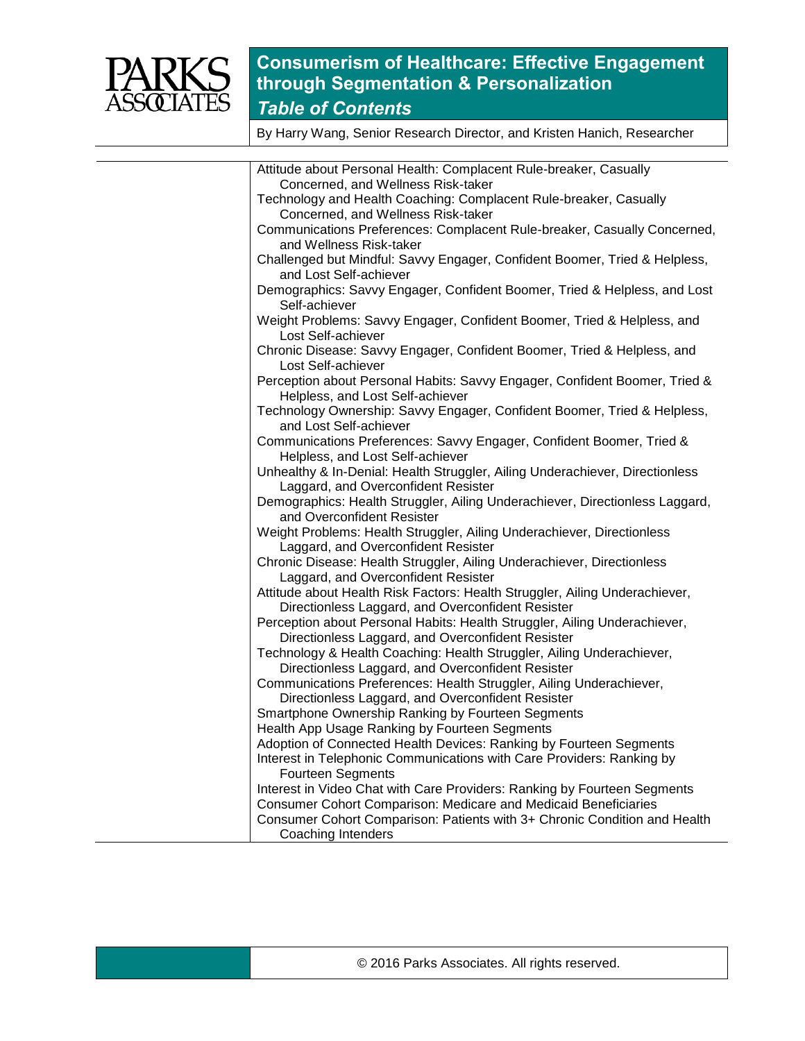

By Harry Wang, Senior Research Director, and Kristen Hanich, Researcher

| Attitude about Personal Health: Complacent Rule-breaker, Casually            |
|------------------------------------------------------------------------------|
| Concerned, and Wellness Risk-taker                                           |
| Technology and Health Coaching: Complacent Rule-breaker, Casually            |
| Concerned, and Wellness Risk-taker                                           |
| Communications Preferences: Complacent Rule-breaker, Casually Concerned,     |
| and Wellness Risk-taker                                                      |
| Challenged but Mindful: Savvy Engager, Confident Boomer, Tried & Helpless,   |
| and Lost Self-achiever                                                       |
| Demographics: Savvy Engager, Confident Boomer, Tried & Helpless, and Lost    |
| Self-achiever                                                                |
| Weight Problems: Savvy Engager, Confident Boomer, Tried & Helpless, and      |
| Lost Self-achiever                                                           |
| Chronic Disease: Savvy Engager, Confident Boomer, Tried & Helpless, and      |
| Lost Self-achiever                                                           |
| Perception about Personal Habits: Savvy Engager, Confident Boomer, Tried &   |
| Helpless, and Lost Self-achiever                                             |
| Technology Ownership: Savvy Engager, Confident Boomer, Tried & Helpless,     |
| and Lost Self-achiever                                                       |
| Communications Preferences: Savvy Engager, Confident Boomer, Tried &         |
| Helpless, and Lost Self-achiever                                             |
| Unhealthy & In-Denial: Health Struggler, Ailing Underachiever, Directionless |
| Laggard, and Overconfident Resister                                          |
| Demographics: Health Struggler, Ailing Underachiever, Directionless Laggard, |
| and Overconfident Resister                                                   |
| Weight Problems: Health Struggler, Ailing Underachiever, Directionless       |
| Laggard, and Overconfident Resister                                          |
| Chronic Disease: Health Struggler, Ailing Underachiever, Directionless       |
| Laggard, and Overconfident Resister                                          |
| Attitude about Health Risk Factors: Health Struggler, Ailing Underachiever,  |
| Directionless Laggard, and Overconfident Resister                            |
| Perception about Personal Habits: Health Struggler, Ailing Underachiever,    |
| Directionless Laggard, and Overconfident Resister                            |
| Technology & Health Coaching: Health Struggler, Ailing Underachiever,        |
| Directionless Laggard, and Overconfident Resister                            |
| Communications Preferences: Health Struggler, Ailing Underachiever,          |
| Directionless Laggard, and Overconfident Resister                            |
| Smartphone Ownership Ranking by Fourteen Segments                            |
| Health App Usage Ranking by Fourteen Segments                                |
| Adoption of Connected Health Devices: Ranking by Fourteen Segments           |
| Interest in Telephonic Communications with Care Providers: Ranking by        |
| <b>Fourteen Segments</b>                                                     |
| Interest in Video Chat with Care Providers: Ranking by Fourteen Segments     |
| Consumer Cohort Comparison: Medicare and Medicaid Beneficiaries              |
| Consumer Cohort Comparison: Patients with 3+ Chronic Condition and Health    |
| Coaching Intenders                                                           |